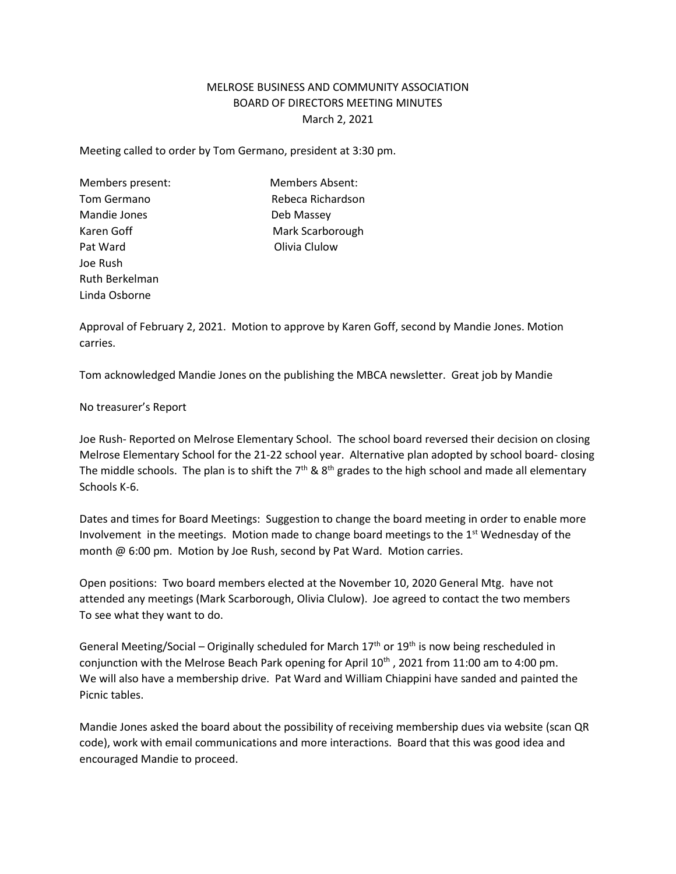## MELROSE BUSINESS AND COMMUNITY ASSOCIATION BOARD OF DIRECTORS MEETING MINUTES March 2, 2021

Meeting called to order by Tom Germano, president at 3:30 pm.

Mandie Jones **Deb Massey** Pat Ward **Pat Ward Olivia Clulow** Joe Rush Ruth Berkelman Linda Osborne

Members present: Members Absent: Tom Germano **Rebeca Richardson** Karen Goff Mark Scarborough

Approval of February 2, 2021. Motion to approve by Karen Goff, second by Mandie Jones. Motion carries.

Tom acknowledged Mandie Jones on the publishing the MBCA newsletter. Great job by Mandie

No treasurer's Report

Joe Rush- Reported on Melrose Elementary School. The school board reversed their decision on closing Melrose Elementary School for the 21-22 school year. Alternative plan adopted by school board- closing The middle schools. The plan is to shift the  $7<sup>th</sup>$  &  $8<sup>th</sup>$  grades to the high school and made all elementary Schools K-6.

Dates and times for Board Meetings: Suggestion to change the board meeting in order to enable more Involvement in the meetings. Motion made to change board meetings to the  $1<sup>st</sup>$  Wednesday of the month @ 6:00 pm. Motion by Joe Rush, second by Pat Ward. Motion carries.

Open positions: Two board members elected at the November 10, 2020 General Mtg. have not attended any meetings (Mark Scarborough, Olivia Clulow). Joe agreed to contact the two members To see what they want to do.

General Meeting/Social – Originally scheduled for March  $17<sup>th</sup>$  or  $19<sup>th</sup>$  is now being rescheduled in conjunction with the Melrose Beach Park opening for April 10<sup>th</sup>, 2021 from 11:00 am to 4:00 pm. We will also have a membership drive. Pat Ward and William Chiappini have sanded and painted the Picnic tables.

Mandie Jones asked the board about the possibility of receiving membership dues via website (scan QR code), work with email communications and more interactions. Board that this was good idea and encouraged Mandie to proceed.